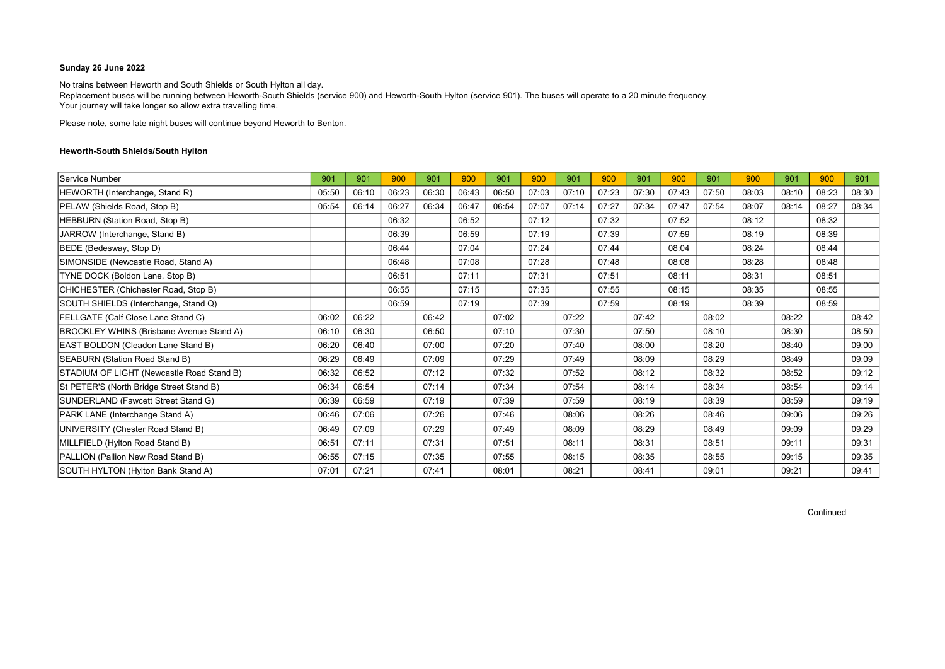No trains between Heworth and South Shields or South Hylton all day. Replacement buses will be running between Heworth-South Shields (service 900) and Heworth-South Hylton (service 901). The buses will operate to a 20 minute frequency. Your journey will take longer so allow extra travelling time.

Please note, some late night buses will continue beyond Heworth to Benton.

### Heworth-South Shields/South Hylton

| Service Number                                  | 901   | 901   | 900   | 901   | 900   | 901   | 900   | 901   | 900   | 901   | 900   | 901   | 900   | 901   | 900   | 901   |
|-------------------------------------------------|-------|-------|-------|-------|-------|-------|-------|-------|-------|-------|-------|-------|-------|-------|-------|-------|
| HEWORTH (Interchange, Stand R)                  | 05:50 | 06:10 | 06:23 | 06:30 | 06:43 | 06:50 | 07:03 | 07:10 | 07:23 | 07:30 | 07:43 | 07:50 | 08:03 | 08:10 | 08:23 | 08:30 |
| PELAW (Shields Road, Stop B)                    | 05:54 | 06:14 | 06:27 | 06:34 | 06:47 | 06:54 | 07:07 | 07:14 | 07:27 | 07:34 | 07:47 | 07:54 | 08:07 | 08:14 | 08:27 | 08:34 |
| HEBBURN (Station Road, Stop B)                  |       |       | 06:32 |       | 06:52 |       | 07:12 |       | 07:32 |       | 07:52 |       | 08:12 |       | 08:32 |       |
| JARROW (Interchange, Stand B)                   |       |       | 06:39 |       | 06:59 |       | 07:19 |       | 07:39 |       | 07:59 |       | 08:19 |       | 08:39 |       |
| BEDE (Bedesway, Stop D)                         |       |       | 06:44 |       | 07:04 |       | 07:24 |       | 07:44 |       | 08:04 |       | 08:24 |       | 08:44 |       |
| SIMONSIDE (Newcastle Road, Stand A)             |       |       | 06:48 |       | 07:08 |       | 07:28 |       | 07:48 |       | 08:08 |       | 08:28 |       | 08:48 |       |
| TYNE DOCK (Boldon Lane, Stop B)                 |       |       | 06:51 |       | 07:11 |       | 07:31 |       | 07:51 |       | 08:11 |       | 08:31 |       | 08:51 |       |
| CHICHESTER (Chichester Road, Stop B)            |       |       | 06:55 |       | 07:15 |       | 07:35 |       | 07:55 |       | 08:15 |       | 08:35 |       | 08:55 |       |
| SOUTH SHIELDS (Interchange, Stand Q)            |       |       | 06:59 |       | 07:19 |       | 07:39 |       | 07:59 |       | 08:19 |       | 08:39 |       | 08:59 |       |
| FELLGATE (Calf Close Lane Stand C)              | 06:02 | 06:22 |       | 06:42 |       | 07:02 |       | 07:22 |       | 07:42 |       | 08:02 |       | 08:22 |       | 08:42 |
| <b>BROCKLEY WHINS (Brisbane Avenue Stand A)</b> | 06:10 | 06:30 |       | 06:50 |       | 07:10 |       | 07:30 |       | 07:50 |       | 08:10 |       | 08:30 |       | 08:50 |
| EAST BOLDON (Cleadon Lane Stand B)              | 06:20 | 06:40 |       | 07:00 |       | 07:20 |       | 07:40 |       | 08:00 |       | 08:20 |       | 08:40 |       | 09:00 |
| SEABURN (Station Road Stand B)                  | 06:29 | 06:49 |       | 07:09 |       | 07:29 |       | 07:49 |       | 08:09 |       | 08:29 |       | 08:49 |       | 09:09 |
| STADIUM OF LIGHT (Newcastle Road Stand B)       | 06:32 | 06:52 |       | 07:12 |       | 07:32 |       | 07:52 |       | 08:12 |       | 08:32 |       | 08:52 |       | 09:12 |
| St PETER'S (North Bridge Street Stand B)        | 06:34 | 06:54 |       | 07:14 |       | 07:34 |       | 07:54 |       | 08:14 |       | 08:34 |       | 08:54 |       | 09:14 |
| SUNDERLAND (Fawcett Street Stand G)             | 06:39 | 06:59 |       | 07:19 |       | 07:39 |       | 07:59 |       | 08:19 |       | 08:39 |       | 08:59 |       | 09:19 |
| PARK LANE (Interchange Stand A)                 | 06:46 | 07:06 |       | 07:26 |       | 07:46 |       | 08:06 |       | 08:26 |       | 08:46 |       | 09:06 |       | 09:26 |
| UNIVERSITY (Chester Road Stand B)               | 06:49 | 07:09 |       | 07:29 |       | 07:49 |       | 08:09 |       | 08:29 |       | 08:49 |       | 09:09 |       | 09:29 |
| MILLFIELD (Hylton Road Stand B)                 | 06:51 | 07:11 |       | 07:31 |       | 07:51 |       | 08:11 |       | 08:31 |       | 08:51 |       | 09:11 |       | 09:31 |
| PALLION (Pallion New Road Stand B)              | 06:55 | 07:15 |       | 07:35 |       | 07:55 |       | 08:15 |       | 08:35 |       | 08:55 |       | 09:15 |       | 09:35 |
| SOUTH HYLTON (Hylton Bank Stand A)              | 07:01 | 07:21 |       | 07:41 |       | 08:01 |       | 08:21 |       | 08:41 |       | 09:01 |       | 09:21 |       | 09:41 |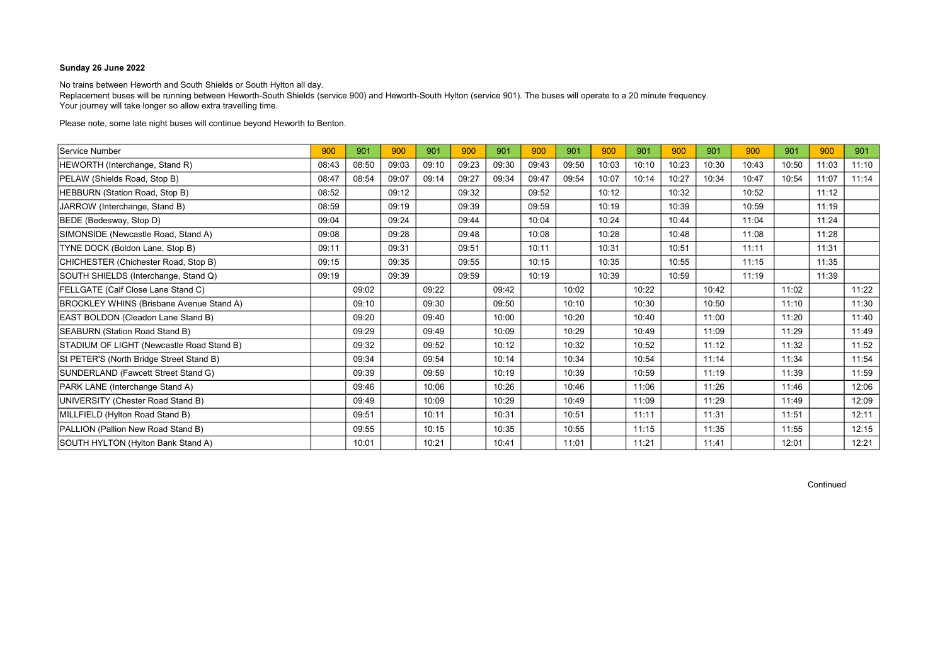No trains between Heworth and South Shields or South Hylton all day. Replacement buses will be running between Heworth-South Shields (service 900) and Heworth-South Hylton (service 901). The buses will operate to a 20 minute frequency. Your journey will take longer so allow extra travelling time.

Please note, some late night buses will continue beyond Heworth to Benton.

| Service Number                                  | 900   | 901   | 900   | 901   | 900   | 901   | 900   | 901   | 900   | 901   | 900   | 901   | 900   | 901   | 900   | 901   |
|-------------------------------------------------|-------|-------|-------|-------|-------|-------|-------|-------|-------|-------|-------|-------|-------|-------|-------|-------|
| HEWORTH (Interchange, Stand R)                  | 08:43 | 08:50 | 09:03 | 09:10 | 09:23 | 09:30 | 09:43 | 09:50 | 10:03 | 10:10 | 10:23 | 10:30 | 10:43 | 10:50 | 11:03 | 11:10 |
| PELAW (Shields Road, Stop B)                    | 08:47 | 08:54 | 09:07 | 09:14 | 09:27 | 09:34 | 09:47 | 09:54 | 10:07 | 10:14 | 10:27 | 10:34 | 10:47 | 10:54 | 11:07 | 11:14 |
| HEBBURN (Station Road, Stop B)                  | 08:52 |       | 09:12 |       | 09:32 |       | 09:52 |       | 10:12 |       | 10:32 |       | 10:52 |       | 11:12 |       |
| JARROW (Interchange, Stand B)                   | 08:59 |       | 09:19 |       | 09:39 |       | 09:59 |       | 10:19 |       | 10:39 |       | 10:59 |       | 11:19 |       |
| BEDE (Bedesway, Stop D)                         | 09:04 |       | 09:24 |       | 09:44 |       | 10:04 |       | 10:24 |       | 10:44 |       | 11:04 |       | 11:24 |       |
| SIMONSIDE (Newcastle Road, Stand A)             | 09:08 |       | 09:28 |       | 09:48 |       | 10:08 |       | 10:28 |       | 10:48 |       | 11:08 |       | 11:28 |       |
| TYNE DOCK (Boldon Lane, Stop B)                 | 09:11 |       | 09:31 |       | 09:51 |       | 10:11 |       | 10:31 |       | 10:51 |       | 11:11 |       | 11:31 |       |
| CHICHESTER (Chichester Road, Stop B)            | 09:15 |       | 09:35 |       | 09:55 |       | 10:15 |       | 10:35 |       | 10:55 |       | 11:15 |       | 11:35 |       |
| SOUTH SHIELDS (Interchange, Stand Q)            | 09:19 |       | 09:39 |       | 09:59 |       | 10:19 |       | 10:39 |       | 10:59 |       | 11:19 |       | 11:39 |       |
| FELLGATE (Calf Close Lane Stand C)              |       | 09:02 |       | 09:22 |       | 09:42 |       | 10:02 |       | 10:22 |       | 10:42 |       | 11:02 |       | 11:22 |
| <b>BROCKLEY WHINS (Brisbane Avenue Stand A)</b> |       | 09:10 |       | 09:30 |       | 09:50 |       | 10:10 |       | 10:30 |       | 10:50 |       | 11:10 |       | 11:30 |
| EAST BOLDON (Cleadon Lane Stand B)              |       | 09:20 |       | 09:40 |       | 10:00 |       | 10:20 |       | 10:40 |       | 11:00 |       | 11:20 |       | 11:40 |
| SEABURN (Station Road Stand B)                  |       | 09:29 |       | 09:49 |       | 10:09 |       | 10:29 |       | 10:49 |       | 11:09 |       | 11:29 |       | 11:49 |
| STADIUM OF LIGHT (Newcastle Road Stand B)       |       | 09:32 |       | 09:52 |       | 10:12 |       | 10:32 |       | 10:52 |       | 11:12 |       | 11:32 |       | 11:52 |
| St PETER'S (North Bridge Street Stand B)        |       | 09:34 |       | 09:54 |       | 10:14 |       | 10:34 |       | 10:54 |       | 11:14 |       | 11:34 |       | 11:54 |
| SUNDERLAND (Fawcett Street Stand G)             |       | 09:39 |       | 09:59 |       | 10:19 |       | 10:39 |       | 10:59 |       | 11:19 |       | 11:39 |       | 11:59 |
| PARK LANE (Interchange Stand A)                 |       | 09:46 |       | 10:06 |       | 10:26 |       | 10:46 |       | 11:06 |       | 11:26 |       | 11:46 |       | 12:06 |
| UNIVERSITY (Chester Road Stand B)               |       | 09:49 |       | 10:09 |       | 10:29 |       | 10:49 |       | 11:09 |       | 11:29 |       | 11:49 |       | 12:09 |
| MILLFIELD (Hylton Road Stand B)                 |       | 09:51 |       | 10:11 |       | 10:31 |       | 10:51 |       | 11:11 |       | 11:31 |       | 11:51 |       | 12:11 |
| PALLION (Pallion New Road Stand B)              |       | 09:55 |       | 10:15 |       | 10:35 |       | 10:55 |       | 11:15 |       | 11:35 |       | 11:55 |       | 12:15 |
| SOUTH HYLTON (Hylton Bank Stand A)              |       | 10:01 |       | 10:21 |       | 10:41 |       | 11:01 |       | 11:21 |       | 11:41 |       | 12:01 |       | 12:21 |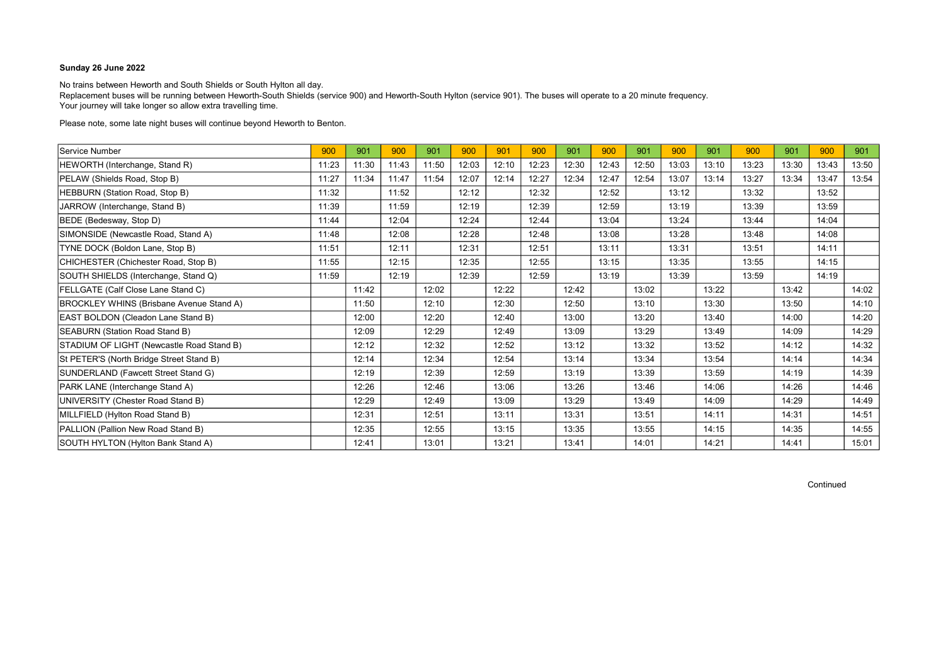No trains between Heworth and South Shields or South Hylton all day. Replacement buses will be running between Heworth-South Shields (service 900) and Heworth-South Hylton (service 901). The buses will operate to a 20 minute frequency. Your journey will take longer so allow extra travelling time.

Please note, some late night buses will continue beyond Heworth to Benton.

| Service Number                                  | 900   | 901   | 900   | 901   | 900   | 901   | 900   | 901   | 900   | 901   | 900   | 901   | 900   | 901   | 900   | 901   |
|-------------------------------------------------|-------|-------|-------|-------|-------|-------|-------|-------|-------|-------|-------|-------|-------|-------|-------|-------|
| HEWORTH (Interchange, Stand R)                  | 11:23 | 11:30 | 11:43 | 11:50 | 12:03 | 12:10 | 12:23 | 12:30 | 12:43 | 12:50 | 13:03 | 13:10 | 13:23 | 13:30 | 13:43 | 13:50 |
| PELAW (Shields Road, Stop B)                    | 11:27 | 11:34 | 11:47 | 11:54 | 12:07 | 12:14 | 12:27 | 12:34 | 12:47 | 12:54 | 13:07 | 13:14 | 13:27 | 13:34 | 13:47 | 13:54 |
| HEBBURN (Station Road, Stop B)                  | 11:32 |       | 11:52 |       | 12:12 |       | 12:32 |       | 12:52 |       | 13:12 |       | 13:32 |       | 13:52 |       |
| JARROW (Interchange, Stand B)                   | 11:39 |       | 11:59 |       | 12:19 |       | 12:39 |       | 12:59 |       | 13:19 |       | 13:39 |       | 13:59 |       |
| BEDE (Bedesway, Stop D)                         | 11:44 |       | 12:04 |       | 12:24 |       | 12:44 |       | 13:04 |       | 13:24 |       | 13:44 |       | 14:04 |       |
| SIMONSIDE (Newcastle Road, Stand A)             | 11:48 |       | 12:08 |       | 12:28 |       | 12:48 |       | 13:08 |       | 13:28 |       | 13:48 |       | 14:08 |       |
| TYNE DOCK (Boldon Lane, Stop B)                 | 11:51 |       | 12:11 |       | 12:31 |       | 12:51 |       | 13:11 |       | 13:31 |       | 13:51 |       | 14:11 |       |
| CHICHESTER (Chichester Road, Stop B)            | 11:55 |       | 12:15 |       | 12:35 |       | 12:55 |       | 13:15 |       | 13:35 |       | 13:55 |       | 14:15 |       |
| SOUTH SHIELDS (Interchange, Stand Q)            | 11:59 |       | 12:19 |       | 12:39 |       | 12:59 |       | 13:19 |       | 13:39 |       | 13:59 |       | 14:19 |       |
| FELLGATE (Calf Close Lane Stand C)              |       | 11:42 |       | 12:02 |       | 12:22 |       | 12:42 |       | 13:02 |       | 13:22 |       | 13:42 |       | 14:02 |
| <b>BROCKLEY WHINS (Brisbane Avenue Stand A)</b> |       | 11:50 |       | 12:10 |       | 12:30 |       | 12:50 |       | 13:10 |       | 13:30 |       | 13:50 |       | 14:10 |
| EAST BOLDON (Cleadon Lane Stand B)              |       | 12:00 |       | 12:20 |       | 12:40 |       | 13:00 |       | 13:20 |       | 13:40 |       | 14:00 |       | 14:20 |
| SEABURN (Station Road Stand B)                  |       | 12:09 |       | 12:29 |       | 12:49 |       | 13:09 |       | 13:29 |       | 13:49 |       | 14:09 |       | 14:29 |
| STADIUM OF LIGHT (Newcastle Road Stand B)       |       | 12:12 |       | 12:32 |       | 12:52 |       | 13:12 |       | 13:32 |       | 13:52 |       | 14:12 |       | 14:32 |
| St PETER'S (North Bridge Street Stand B)        |       | 12:14 |       | 12:34 |       | 12:54 |       | 13:14 |       | 13:34 |       | 13:54 |       | 14:14 |       | 14:34 |
| SUNDERLAND (Fawcett Street Stand G)             |       | 12:19 |       | 12:39 |       | 12:59 |       | 13:19 |       | 13:39 |       | 13:59 |       | 14:19 |       | 14:39 |
| PARK LANE (Interchange Stand A)                 |       | 12:26 |       | 12:46 |       | 13:06 |       | 13:26 |       | 13:46 |       | 14:06 |       | 14:26 |       | 14:46 |
| UNIVERSITY (Chester Road Stand B)               |       | 12:29 |       | 12:49 |       | 13:09 |       | 13:29 |       | 13:49 |       | 14:09 |       | 14:29 |       | 14:49 |
| MILLFIELD (Hylton Road Stand B)                 |       | 12:31 |       | 12:51 |       | 13:11 |       | 13:31 |       | 13:51 |       | 14:11 |       | 14:31 |       | 14:51 |
| PALLION (Pallion New Road Stand B)              |       | 12:35 |       | 12:55 |       | 13:15 |       | 13:35 |       | 13:55 |       | 14:15 |       | 14:35 |       | 14:55 |
| SOUTH HYLTON (Hylton Bank Stand A)              |       | 12:41 |       | 13:01 |       | 13:21 |       | 13:41 |       | 14:01 |       | 14:21 |       | 14:41 |       | 15:01 |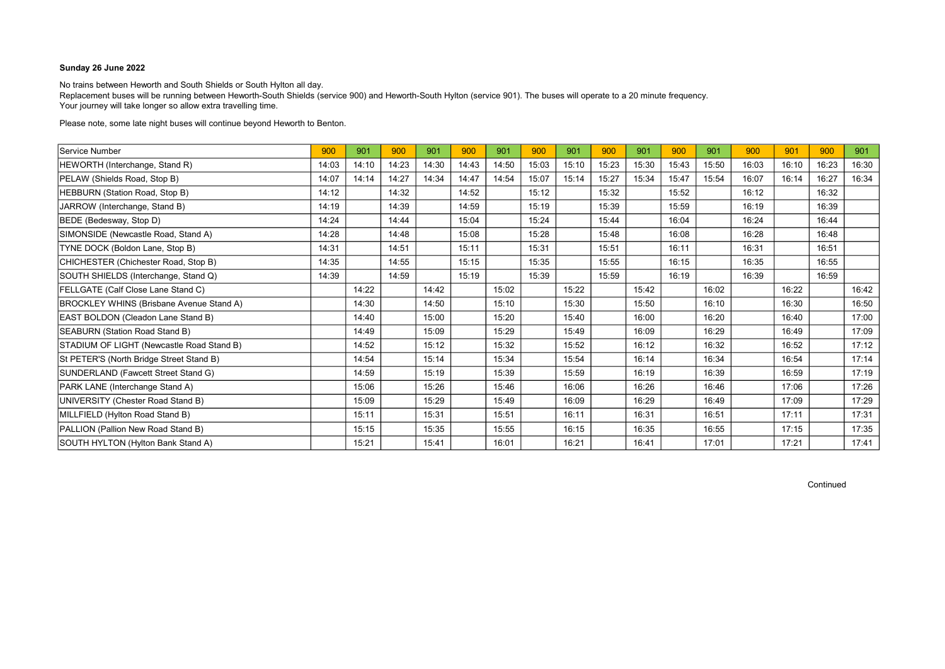No trains between Heworth and South Shields or South Hylton all day. Replacement buses will be running between Heworth-South Shields (service 900) and Heworth-South Hylton (service 901). The buses will operate to a 20 minute frequency. Your journey will take longer so allow extra travelling time.

Please note, some late night buses will continue beyond Heworth to Benton.

| Service Number                                  | 900   | 901   | 900   | 901   | 900   | 901   | 900   | 901   | 900   | 901   | 900   | 901   | 900   | 901   | 900   | 901   |
|-------------------------------------------------|-------|-------|-------|-------|-------|-------|-------|-------|-------|-------|-------|-------|-------|-------|-------|-------|
| HEWORTH (Interchange, Stand R)                  | 14:03 | 14:10 | 14:23 | 14:30 | 14:43 | 14:50 | 15:03 | 15:10 | 15:23 | 15:30 | 15:43 | 15:50 | 16:03 | 16:10 | 16:23 | 16:30 |
| PELAW (Shields Road, Stop B)                    | 14:07 | 14:14 | 14:27 | 14:34 | 14:47 | 14:54 | 15:07 | 15:14 | 15:27 | 15:34 | 15:47 | 15:54 | 16:07 | 16:14 | 16:27 | 16:34 |
| HEBBURN (Station Road, Stop B)                  | 14:12 |       | 14:32 |       | 14:52 |       | 15:12 |       | 15:32 |       | 15:52 |       | 16:12 |       | 16:32 |       |
| JARROW (Interchange, Stand B)                   | 14:19 |       | 14:39 |       | 14:59 |       | 15:19 |       | 15:39 |       | 15:59 |       | 16:19 |       | 16:39 |       |
| BEDE (Bedesway, Stop D)                         | 14:24 |       | 14:44 |       | 15:04 |       | 15:24 |       | 15:44 |       | 16:04 |       | 16:24 |       | 16:44 |       |
| SIMONSIDE (Newcastle Road, Stand A)             | 14:28 |       | 14:48 |       | 15:08 |       | 15:28 |       | 15:48 |       | 16:08 |       | 16:28 |       | 16:48 |       |
| TYNE DOCK (Boldon Lane, Stop B)                 | 14:31 |       | 14:51 |       | 15:11 |       | 15:31 |       | 15:51 |       | 16:11 |       | 16:31 |       | 16:51 |       |
| CHICHESTER (Chichester Road, Stop B)            | 14:35 |       | 14:55 |       | 15:15 |       | 15:35 |       | 15:55 |       | 16:15 |       | 16:35 |       | 16:55 |       |
| SOUTH SHIELDS (Interchange, Stand Q)            | 14:39 |       | 14:59 |       | 15:19 |       | 15:39 |       | 15:59 |       | 16:19 |       | 16:39 |       | 16:59 |       |
| FELLGATE (Calf Close Lane Stand C)              |       | 14:22 |       | 14:42 |       | 15:02 |       | 15:22 |       | 15:42 |       | 16:02 |       | 16:22 |       | 16:42 |
| <b>BROCKLEY WHINS (Brisbane Avenue Stand A)</b> |       | 14:30 |       | 14:50 |       | 15:10 |       | 15:30 |       | 15:50 |       | 16:10 |       | 16:30 |       | 16:50 |
| EAST BOLDON (Cleadon Lane Stand B)              |       | 14:40 |       | 15:00 |       | 15:20 |       | 15:40 |       | 16:00 |       | 16:20 |       | 16:40 |       | 17:00 |
| <b>SEABURN (Station Road Stand B)</b>           |       | 14:49 |       | 15:09 |       | 15:29 |       | 15:49 |       | 16:09 |       | 16:29 |       | 16:49 |       | 17:09 |
| STADIUM OF LIGHT (Newcastle Road Stand B)       |       | 14:52 |       | 15:12 |       | 15:32 |       | 15:52 |       | 16:12 |       | 16:32 |       | 16:52 |       | 17:12 |
| St PETER'S (North Bridge Street Stand B)        |       | 14:54 |       | 15:14 |       | 15:34 |       | 15:54 |       | 16:14 |       | 16:34 |       | 16:54 |       | 17:14 |
| SUNDERLAND (Fawcett Street Stand G)             |       | 14:59 |       | 15:19 |       | 15:39 |       | 15:59 |       | 16:19 |       | 16:39 |       | 16:59 |       | 17:19 |
| PARK LANE (Interchange Stand A)                 |       | 15:06 |       | 15:26 |       | 15:46 |       | 16:06 |       | 16:26 |       | 16:46 |       | 17:06 |       | 17:26 |
| UNIVERSITY (Chester Road Stand B)               |       | 15:09 |       | 15:29 |       | 15:49 |       | 16:09 |       | 16:29 |       | 16:49 |       | 17:09 |       | 17:29 |
| MILLFIELD (Hylton Road Stand B)                 |       | 15:11 |       | 15:31 |       | 15:51 |       | 16:11 |       | 16:31 |       | 16:51 |       | 17:11 |       | 17:31 |
| PALLION (Pallion New Road Stand B)              |       | 15:15 |       | 15:35 |       | 15:55 |       | 16:15 |       | 16:35 |       | 16:55 |       | 17:15 |       | 17:35 |
| SOUTH HYLTON (Hylton Bank Stand A)              |       | 15:21 |       | 15:41 |       | 16:01 |       | 16:21 |       | 16:41 |       | 17:01 |       | 17:21 |       | 17:41 |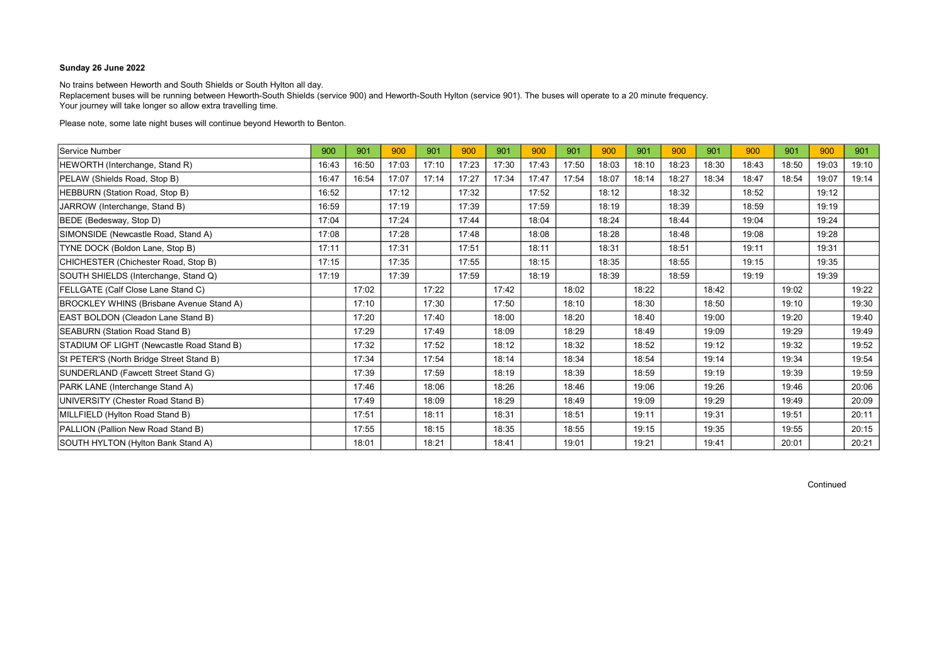No trains between Heworth and South Shields or South Hylton all day. Replacement buses will be running between Heworth-South Shields (service 900) and Heworth-South Hylton (service 901). The buses will operate to a 20 minute frequency. Your journey will take longer so allow extra travelling time.

Please note, some late night buses will continue beyond Heworth to Benton.

| Service Number                                  | 900   | 901   | 900   | 901   | 900   | 901   | 900   | 901   | 900   | 901   | 900   | 901   | 900   | 901   | 900   | 901   |
|-------------------------------------------------|-------|-------|-------|-------|-------|-------|-------|-------|-------|-------|-------|-------|-------|-------|-------|-------|
| HEWORTH (Interchange, Stand R)                  | 16:43 | 16:50 | 17:03 | 17:10 | 17:23 | 17:30 | 17:43 | 17:50 | 18:03 | 18:10 | 18:23 | 18:30 | 18:43 | 18:50 | 19:03 | 19:10 |
| PELAW (Shields Road, Stop B)                    | 16:47 | 16:54 | 17:07 | 17:14 | 17:27 | 17:34 | 17:47 | 17:54 | 18:07 | 18:14 | 18:27 | 18:34 | 18:47 | 18:54 | 19:07 | 19:14 |
| HEBBURN (Station Road, Stop B)                  | 16:52 |       | 17:12 |       | 17:32 |       | 17:52 |       | 18:12 |       | 18:32 |       | 18:52 |       | 19:12 |       |
| JARROW (Interchange, Stand B)                   | 16:59 |       | 17:19 |       | 17:39 |       | 17:59 |       | 18:19 |       | 18:39 |       | 18:59 |       | 19:19 |       |
| BEDE (Bedesway, Stop D)                         | 17:04 |       | 17:24 |       | 17:44 |       | 18:04 |       | 18:24 |       | 18:44 |       | 19:04 |       | 19:24 |       |
| SIMONSIDE (Newcastle Road, Stand A)             | 17:08 |       | 17:28 |       | 17:48 |       | 18:08 |       | 18:28 |       | 18:48 |       | 19:08 |       | 19:28 |       |
| TYNE DOCK (Boldon Lane, Stop B)                 | 17:11 |       | 17:31 |       | 17:51 |       | 18:11 |       | 18:31 |       | 18:51 |       | 19:11 |       | 19:31 |       |
| CHICHESTER (Chichester Road, Stop B)            | 17:15 |       | 17:35 |       | 17:55 |       | 18:15 |       | 18:35 |       | 18:55 |       | 19:15 |       | 19:35 |       |
| SOUTH SHIELDS (Interchange, Stand Q)            | 17:19 |       | 17:39 |       | 17:59 |       | 18:19 |       | 18:39 |       | 18:59 |       | 19:19 |       | 19:39 |       |
| FELLGATE (Calf Close Lane Stand C)              |       | 17:02 |       | 17:22 |       | 17:42 |       | 18:02 |       | 18:22 |       | 18:42 |       | 19:02 |       | 19:22 |
| <b>BROCKLEY WHINS (Brisbane Avenue Stand A)</b> |       | 17:10 |       | 17:30 |       | 17:50 |       | 18:10 |       | 18:30 |       | 18:50 |       | 19:10 |       | 19:30 |
| EAST BOLDON (Cleadon Lane Stand B)              |       | 17:20 |       | 17:40 |       | 18:00 |       | 18:20 |       | 18:40 |       | 19:00 |       | 19:20 |       | 19:40 |
| <b>SEABURN (Station Road Stand B)</b>           |       | 17:29 |       | 17:49 |       | 18:09 |       | 18:29 |       | 18:49 |       | 19:09 |       | 19:29 |       | 19:49 |
| STADIUM OF LIGHT (Newcastle Road Stand B)       |       | 17:32 |       | 17:52 |       | 18:12 |       | 18:32 |       | 18:52 |       | 19:12 |       | 19:32 |       | 19:52 |
| St PETER'S (North Bridge Street Stand B)        |       | 17:34 |       | 17:54 |       | 18:14 |       | 18:34 |       | 18:54 |       | 19:14 |       | 19:34 |       | 19:54 |
| SUNDERLAND (Fawcett Street Stand G)             |       | 17:39 |       | 17:59 |       | 18:19 |       | 18:39 |       | 18:59 |       | 19:19 |       | 19:39 |       | 19:59 |
| PARK LANE (Interchange Stand A)                 |       | 17:46 |       | 18:06 |       | 18:26 |       | 18:46 |       | 19:06 |       | 19:26 |       | 19:46 |       | 20:06 |
| UNIVERSITY (Chester Road Stand B)               |       | 17:49 |       | 18:09 |       | 18:29 |       | 18:49 |       | 19:09 |       | 19:29 |       | 19:49 |       | 20:09 |
| MILLFIELD (Hylton Road Stand B)                 |       | 17:51 |       | 18:11 |       | 18:31 |       | 18:51 |       | 19:11 |       | 19:31 |       | 19:51 |       | 20:11 |
| PALLION (Pallion New Road Stand B)              |       | 17:55 |       | 18:15 |       | 18:35 |       | 18:55 |       | 19:15 |       | 19:35 |       | 19:55 |       | 20:15 |
| SOUTH HYLTON (Hylton Bank Stand A)              |       | 18:01 |       | 18:21 |       | 18:41 |       | 19:01 |       | 19:21 |       | 19:41 |       | 20:01 |       | 20:21 |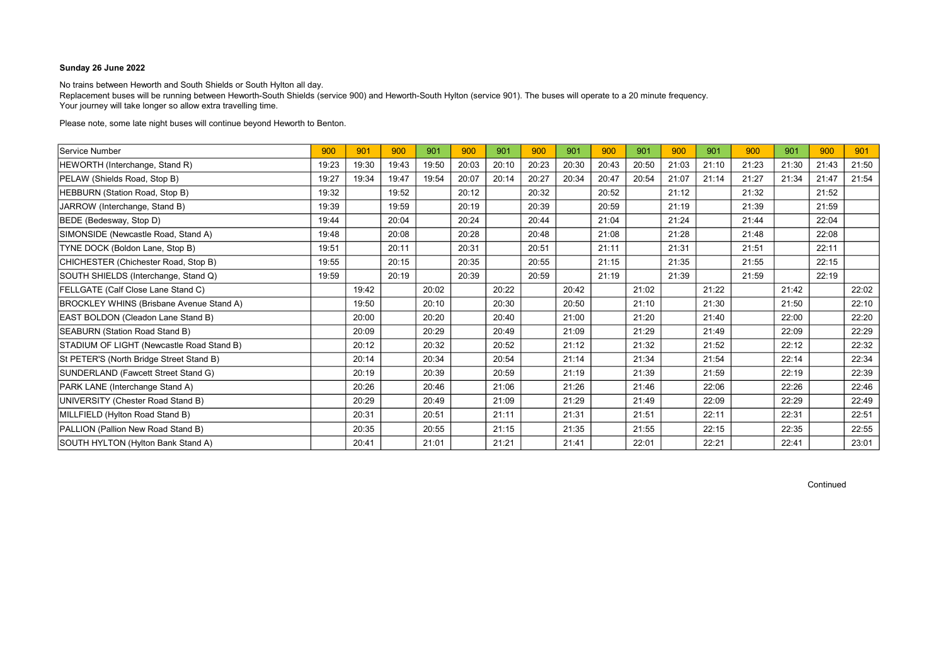No trains between Heworth and South Shields or South Hylton all day. Replacement buses will be running between Heworth-South Shields (service 900) and Heworth-South Hylton (service 901). The buses will operate to a 20 minute frequency. Your journey will take longer so allow extra travelling time.

Please note, some late night buses will continue beyond Heworth to Benton.

| Service Number                                  | 900   | 901   | 900   | 901   | 900   | 901   | 900   | 901   | 900   | 901   | 900   | 901   | 900   | 901   | 900   | 901   |
|-------------------------------------------------|-------|-------|-------|-------|-------|-------|-------|-------|-------|-------|-------|-------|-------|-------|-------|-------|
| HEWORTH (Interchange, Stand R)                  | 19:23 | 19:30 | 19:43 | 19:50 | 20:03 | 20:10 | 20:23 | 20:30 | 20:43 | 20:50 | 21:03 | 21:10 | 21:23 | 21:30 | 21:43 | 21:50 |
| PELAW (Shields Road, Stop B)                    | 19:27 | 19:34 | 19:47 | 19:54 | 20:07 | 20:14 | 20:27 | 20:34 | 20:47 | 20:54 | 21:07 | 21:14 | 21:27 | 21:34 | 21:47 | 21:54 |
| HEBBURN (Station Road, Stop B)                  | 19:32 |       | 19:52 |       | 20:12 |       | 20:32 |       | 20:52 |       | 21:12 |       | 21:32 |       | 21:52 |       |
| JARROW (Interchange, Stand B)                   | 19:39 |       | 19:59 |       | 20:19 |       | 20:39 |       | 20:59 |       | 21:19 |       | 21:39 |       | 21:59 |       |
| BEDE (Bedesway, Stop D)                         | 19:44 |       | 20:04 |       | 20:24 |       | 20:44 |       | 21:04 |       | 21:24 |       | 21:44 |       | 22:04 |       |
| SIMONSIDE (Newcastle Road, Stand A)             | 19:48 |       | 20:08 |       | 20:28 |       | 20:48 |       | 21:08 |       | 21:28 |       | 21:48 |       | 22:08 |       |
| TYNE DOCK (Boldon Lane, Stop B)                 | 19:51 |       | 20:11 |       | 20:31 |       | 20:51 |       | 21:11 |       | 21:31 |       | 21:51 |       | 22:11 |       |
| CHICHESTER (Chichester Road, Stop B)            | 19:55 |       | 20:15 |       | 20:35 |       | 20:55 |       | 21:15 |       | 21:35 |       | 21:55 |       | 22:15 |       |
| SOUTH SHIELDS (Interchange, Stand Q)            | 19:59 |       | 20:19 |       | 20:39 |       | 20:59 |       | 21:19 |       | 21:39 |       | 21:59 |       | 22:19 |       |
| FELLGATE (Calf Close Lane Stand C)              |       | 19:42 |       | 20:02 |       | 20:22 |       | 20:42 |       | 21:02 |       | 21:22 |       | 21:42 |       | 22:02 |
| <b>BROCKLEY WHINS (Brisbane Avenue Stand A)</b> |       | 19:50 |       | 20:10 |       | 20:30 |       | 20:50 |       | 21:10 |       | 21:30 |       | 21:50 |       | 22:10 |
| EAST BOLDON (Cleadon Lane Stand B)              |       | 20:00 |       | 20:20 |       | 20:40 |       | 21:00 |       | 21:20 |       | 21:40 |       | 22:00 |       | 22:20 |
| SEABURN (Station Road Stand B)                  |       | 20:09 |       | 20:29 |       | 20:49 |       | 21:09 |       | 21:29 |       | 21:49 |       | 22:09 |       | 22:29 |
| STADIUM OF LIGHT (Newcastle Road Stand B)       |       | 20:12 |       | 20:32 |       | 20:52 |       | 21:12 |       | 21:32 |       | 21:52 |       | 22:12 |       | 22:32 |
| St PETER'S (North Bridge Street Stand B)        |       | 20:14 |       | 20:34 |       | 20:54 |       | 21:14 |       | 21:34 |       | 21:54 |       | 22:14 |       | 22:34 |
| SUNDERLAND (Fawcett Street Stand G)             |       | 20:19 |       | 20:39 |       | 20:59 |       | 21:19 |       | 21:39 |       | 21:59 |       | 22:19 |       | 22:39 |
| PARK LANE (Interchange Stand A)                 |       | 20:26 |       | 20:46 |       | 21:06 |       | 21:26 |       | 21:46 |       | 22:06 |       | 22:26 |       | 22:46 |
| UNIVERSITY (Chester Road Stand B)               |       | 20:29 |       | 20:49 |       | 21:09 |       | 21:29 |       | 21:49 |       | 22:09 |       | 22:29 |       | 22:49 |
| MILLFIELD (Hylton Road Stand B)                 |       | 20:31 |       | 20:51 |       | 21:11 |       | 21:31 |       | 21:51 |       | 22:11 |       | 22:31 |       | 22:51 |
| PALLION (Pallion New Road Stand B)              |       | 20:35 |       | 20:55 |       | 21:15 |       | 21:35 |       | 21:55 |       | 22:15 |       | 22:35 |       | 22:55 |
| SOUTH HYLTON (Hylton Bank Stand A)              |       | 20:41 |       | 21:01 |       | 21:21 |       | 21:41 |       | 22:01 |       | 22:21 |       | 22:41 |       | 23:01 |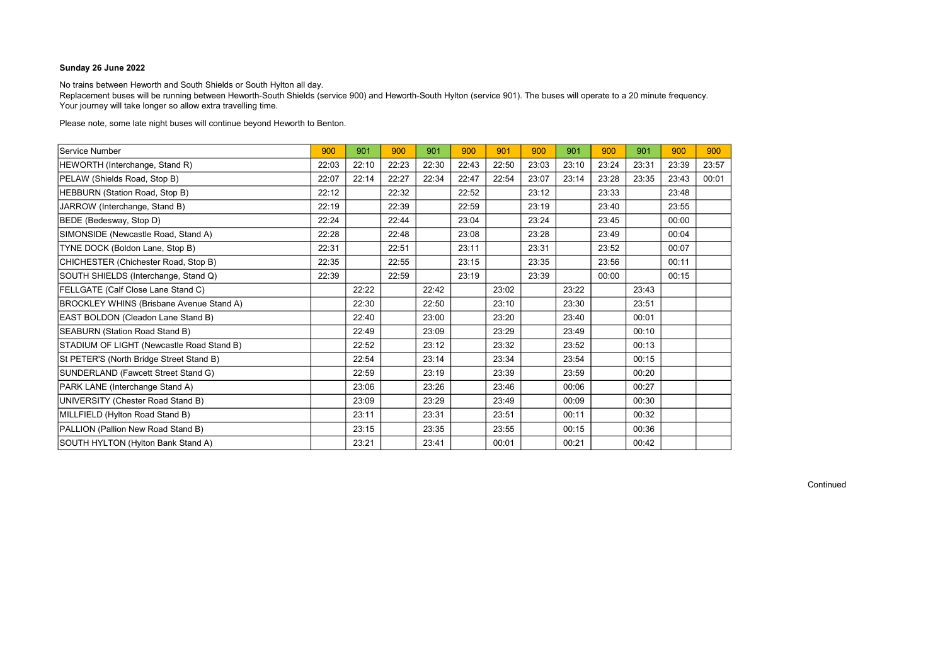No trains between Heworth and South Shields or South Hylton all day.

Replacement buses will be running between Heworth-South Shields (service 900) and Heworth-South Hylton (service 901). The buses will operate to a 20 minute frequency. Your journey will take longer so allow extra travelling time.

Please note, some late night buses will continue beyond Heworth to Benton.

| Service Number                                  | 900   | 901   | 900   | 901   | 900   | 901   | 900   | 901   | 900   | 901   | 900   | 900   |
|-------------------------------------------------|-------|-------|-------|-------|-------|-------|-------|-------|-------|-------|-------|-------|
| HEWORTH (Interchange, Stand R)                  | 22:03 | 22:10 | 22:23 | 22:30 | 22:43 | 22:50 | 23:03 | 23:10 | 23:24 | 23:31 | 23:39 | 23:57 |
| PELAW (Shields Road, Stop B)                    | 22:07 | 22:14 | 22:27 | 22:34 | 22:47 | 22:54 | 23:07 | 23:14 | 23:28 | 23:35 | 23:43 | 00:01 |
| HEBBURN (Station Road, Stop B)                  | 22:12 |       | 22:32 |       | 22:52 |       | 23:12 |       | 23:33 |       | 23:48 |       |
| JARROW (Interchange, Stand B)                   | 22:19 |       | 22:39 |       | 22:59 |       | 23:19 |       | 23:40 |       | 23:55 |       |
| BEDE (Bedesway, Stop D)                         | 22:24 |       | 22:44 |       | 23:04 |       | 23:24 |       | 23:45 |       | 00:00 |       |
| SIMONSIDE (Newcastle Road, Stand A)             | 22:28 |       | 22:48 |       | 23:08 |       | 23:28 |       | 23:49 |       | 00:04 |       |
| TYNE DOCK (Boldon Lane, Stop B)                 | 22:31 |       | 22:51 |       | 23:11 |       | 23:31 |       | 23:52 |       | 00:07 |       |
| CHICHESTER (Chichester Road, Stop B)            | 22:35 |       | 22:55 |       | 23:15 |       | 23:35 |       | 23:56 |       | 00:11 |       |
| SOUTH SHIELDS (Interchange, Stand Q)            | 22:39 |       | 22:59 |       | 23:19 |       | 23:39 |       | 00:00 |       | 00:15 |       |
| FELLGATE (Calf Close Lane Stand C)              |       | 22:22 |       | 22:42 |       | 23:02 |       | 23:22 |       | 23:43 |       |       |
| <b>BROCKLEY WHINS (Brisbane Avenue Stand A)</b> |       | 22:30 |       | 22:50 |       | 23:10 |       | 23:30 |       | 23:51 |       |       |
| EAST BOLDON (Cleadon Lane Stand B)              |       | 22:40 |       | 23:00 |       | 23:20 |       | 23:40 |       | 00:01 |       |       |
| SEABURN (Station Road Stand B)                  |       | 22:49 |       | 23:09 |       | 23:29 |       | 23:49 |       | 00:10 |       |       |
| STADIUM OF LIGHT (Newcastle Road Stand B)       |       | 22:52 |       | 23:12 |       | 23:32 |       | 23:52 |       | 00:13 |       |       |
| St PETER'S (North Bridge Street Stand B)        |       | 22:54 |       | 23:14 |       | 23:34 |       | 23:54 |       | 00:15 |       |       |
| SUNDERLAND (Fawcett Street Stand G)             |       | 22:59 |       | 23:19 |       | 23:39 |       | 23:59 |       | 00:20 |       |       |
| PARK LANE (Interchange Stand A)                 |       | 23:06 |       | 23:26 |       | 23:46 |       | 00:06 |       | 00:27 |       |       |
| UNIVERSITY (Chester Road Stand B)               |       | 23:09 |       | 23:29 |       | 23:49 |       | 00:09 |       | 00:30 |       |       |
| MILLFIELD (Hylton Road Stand B)                 |       | 23:11 |       | 23:31 |       | 23:51 |       | 00:11 |       | 00:32 |       |       |
| PALLION (Pallion New Road Stand B)              |       | 23:15 |       | 23:35 |       | 23:55 |       | 00:15 |       | 00:36 |       |       |
| SOUTH HYLTON (Hylton Bank Stand A)              |       | 23:21 |       | 23:41 |       | 00:01 |       | 00:21 |       | 00:42 |       |       |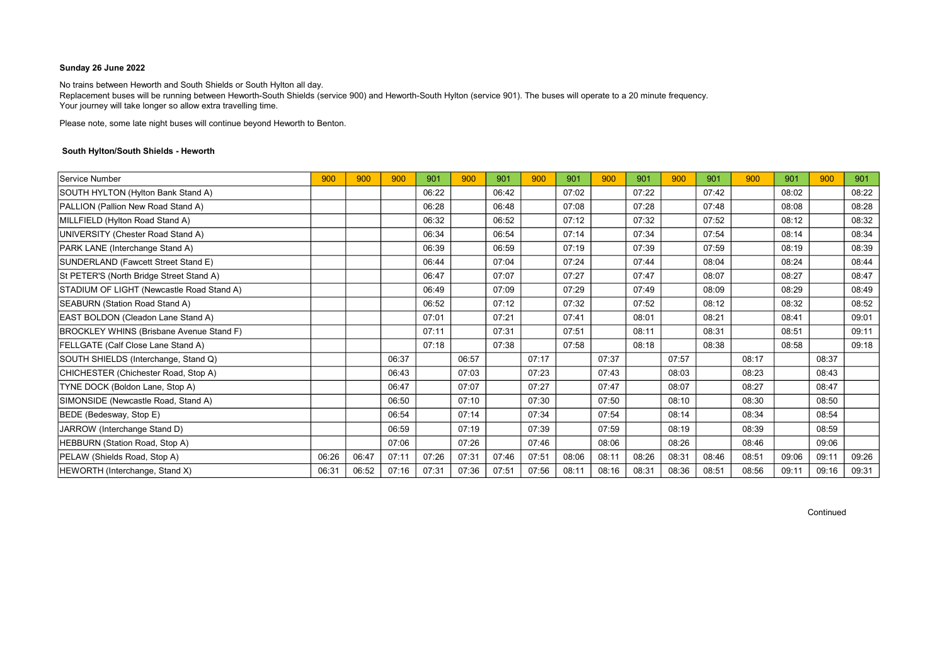No trains between Heworth and South Shields or South Hylton all day. Replacement buses will be running between Heworth-South Shields (service 900) and Heworth-South Hylton (service 901). The buses will operate to a 20 minute frequency. Your journey will take longer so allow extra travelling time.

Please note, some late night buses will continue beyond Heworth to Benton.

### South Hylton/South Shields - Heworth

| Service Number                                  | 900   | 900   | 900   | 901   | 900   | 901   | 900   | 901   | 900   | 901   | 900   | 901   | 900   | 901   | 900   | 901   |
|-------------------------------------------------|-------|-------|-------|-------|-------|-------|-------|-------|-------|-------|-------|-------|-------|-------|-------|-------|
| SOUTH HYLTON (Hylton Bank Stand A)              |       |       |       | 06:22 |       | 06:42 |       | 07:02 |       | 07:22 |       | 07:42 |       | 08:02 |       | 08:22 |
| PALLION (Pallion New Road Stand A)              |       |       |       | 06:28 |       | 06:48 |       | 07:08 |       | 07:28 |       | 07:48 |       | 08:08 |       | 08:28 |
| MILLFIELD (Hylton Road Stand A)                 |       |       |       | 06:32 |       | 06:52 |       | 07:12 |       | 07:32 |       | 07:52 |       | 08:12 |       | 08:32 |
| UNIVERSITY (Chester Road Stand A)               |       |       |       | 06:34 |       | 06:54 |       | 07:14 |       | 07:34 |       | 07:54 |       | 08:14 |       | 08:34 |
| PARK LANE (Interchange Stand A)                 |       |       |       | 06:39 |       | 06:59 |       | 07:19 |       | 07:39 |       | 07:59 |       | 08:19 |       | 08:39 |
| SUNDERLAND (Fawcett Street Stand E)             |       |       |       | 06:44 |       | 07:04 |       | 07:24 |       | 07:44 |       | 08:04 |       | 08:24 |       | 08:44 |
| St PETER'S (North Bridge Street Stand A)        |       |       |       | 06:47 |       | 07:07 |       | 07:27 |       | 07:47 |       | 08:07 |       | 08:27 |       | 08:47 |
| STADIUM OF LIGHT (Newcastle Road Stand A)       |       |       |       | 06:49 |       | 07:09 |       | 07:29 |       | 07:49 |       | 08:09 |       | 08:29 |       | 08:49 |
| SEABURN (Station Road Stand A)                  |       |       |       | 06:52 |       | 07:12 |       | 07:32 |       | 07:52 |       | 08:12 |       | 08:32 |       | 08:52 |
| EAST BOLDON (Cleadon Lane Stand A)              |       |       |       | 07:01 |       | 07:21 |       | 07:41 |       | 08:01 |       | 08:21 |       | 08:41 |       | 09:01 |
| <b>BROCKLEY WHINS (Brisbane Avenue Stand F)</b> |       |       |       | 07:11 |       | 07:31 |       | 07:51 |       | 08:11 |       | 08:31 |       | 08:51 |       | 09:11 |
| FELLGATE (Calf Close Lane Stand A)              |       |       |       | 07:18 |       | 07:38 |       | 07:58 |       | 08:18 |       | 08:38 |       | 08:58 |       | 09:18 |
| SOUTH SHIELDS (Interchange, Stand Q)            |       |       | 06:37 |       | 06:57 |       | 07:17 |       | 07:37 |       | 07:57 |       | 08:17 |       | 08:37 |       |
| CHICHESTER (Chichester Road, Stop A)            |       |       | 06:43 |       | 07:03 |       | 07:23 |       | 07:43 |       | 08:03 |       | 08:23 |       | 08:43 |       |
| TYNE DOCK (Boldon Lane, Stop A)                 |       |       | 06:47 |       | 07:07 |       | 07:27 |       | 07:47 |       | 08:07 |       | 08:27 |       | 08:47 |       |
| SIMONSIDE (Newcastle Road, Stand A)             |       |       | 06:50 |       | 07:10 |       | 07:30 |       | 07:50 |       | 08:10 |       | 08:30 |       | 08:50 |       |
| BEDE (Bedesway, Stop E)                         |       |       | 06:54 |       | 07:14 |       | 07:34 |       | 07:54 |       | 08:14 |       | 08:34 |       | 08:54 |       |
| JARROW (Interchange Stand D)                    |       |       | 06:59 |       | 07:19 |       | 07:39 |       | 07:59 |       | 08:19 |       | 08:39 |       | 08:59 |       |
| HEBBURN (Station Road, Stop A)                  |       |       | 07:06 |       | 07:26 |       | 07:46 |       | 08:06 |       | 08:26 |       | 08:46 |       | 09:06 |       |
| PELAW (Shields Road, Stop A)                    | 06:26 | 06:47 | 07:11 | 07:26 | 07:31 | 07:46 | 07:51 | 08:06 | 08:11 | 08:26 | 08:31 | 08:46 | 08:51 | 09:06 | 09:11 | 09:26 |
| HEWORTH (Interchange, Stand X)                  | 06:31 | 06:52 | 07:16 | 07:31 | 07:36 | 07:51 | 07:56 | 08:11 | 08:16 | 08:31 | 08:36 | 08:51 | 08:56 | 09:11 | 09:16 | 09:31 |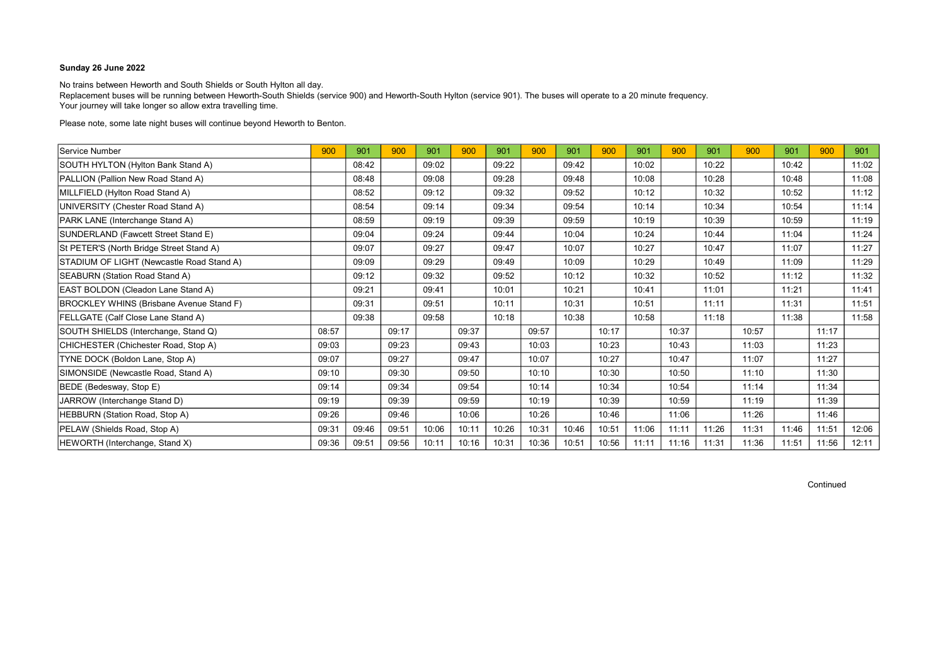No trains between Heworth and South Shields or South Hylton all day. Replacement buses will be running between Heworth-South Shields (service 900) and Heworth-South Hylton (service 901). The buses will operate to a 20 minute frequency. Your journey will take longer so allow extra travelling time.

Please note, some late night buses will continue beyond Heworth to Benton.

| Service Number                            | 900   | 901   | 900   | 901   | 900   | 901   | 900   | 901   | 900   | 901   | 900   | 901   | 900   | 901   | 900   | 901   |
|-------------------------------------------|-------|-------|-------|-------|-------|-------|-------|-------|-------|-------|-------|-------|-------|-------|-------|-------|
| SOUTH HYLTON (Hylton Bank Stand A)        |       | 08:42 |       | 09:02 |       | 09:22 |       | 09:42 |       | 10:02 |       | 10:22 |       | 10:42 |       | 11:02 |
| PALLION (Pallion New Road Stand A)        |       | 08:48 |       | 09:08 |       | 09:28 |       | 09:48 |       | 10:08 |       | 10:28 |       | 10:48 |       | 11:08 |
| MILLFIELD (Hylton Road Stand A)           |       | 08:52 |       | 09:12 |       | 09:32 |       | 09:52 |       | 10:12 |       | 10:32 |       | 10:52 |       | 11:12 |
| UNIVERSITY (Chester Road Stand A)         |       | 08:54 |       | 09:14 |       | 09:34 |       | 09:54 |       | 10:14 |       | 10:34 |       | 10:54 |       | 11:14 |
| PARK LANE (Interchange Stand A)           |       | 08:59 |       | 09:19 |       | 09:39 |       | 09:59 |       | 10:19 |       | 10:39 |       | 10:59 |       | 11:19 |
| SUNDERLAND (Fawcett Street Stand E)       |       | 09:04 |       | 09:24 |       | 09:44 |       | 10:04 |       | 10:24 |       | 10:44 |       | 11:04 |       | 11:24 |
| St PETER'S (North Bridge Street Stand A)  |       | 09:07 |       | 09:27 |       | 09:47 |       | 10:07 |       | 10:27 |       | 10:47 |       | 11:07 |       | 11:27 |
| STADIUM OF LIGHT (Newcastle Road Stand A) |       | 09:09 |       | 09:29 |       | 09:49 |       | 10:09 |       | 10:29 |       | 10:49 |       | 11:09 |       | 11:29 |
| SEABURN (Station Road Stand A)            |       | 09:12 |       | 09:32 |       | 09:52 |       | 10:12 |       | 10:32 |       | 10:52 |       | 11:12 |       | 11:32 |
| EAST BOLDON (Cleadon Lane Stand A)        |       | 09:21 |       | 09:41 |       | 10:01 |       | 10:21 |       | 10:41 |       | 11:01 |       | 11:21 |       | 11:41 |
| BROCKLEY WHINS (Brisbane Avenue Stand F)  |       | 09:31 |       | 09:51 |       | 10:11 |       | 10:31 |       | 10:51 |       | 11:11 |       | 11:31 |       | 11:51 |
| FELLGATE (Calf Close Lane Stand A)        |       | 09:38 |       | 09:58 |       | 10:18 |       | 10:38 |       | 10:58 |       | 11:18 |       | 11:38 |       | 11:58 |
| SOUTH SHIELDS (Interchange, Stand Q)      | 08:57 |       | 09:17 |       | 09:37 |       | 09:57 |       | 10:17 |       | 10:37 |       | 10:57 |       | 11:17 |       |
| CHICHESTER (Chichester Road, Stop A)      | 09:03 |       | 09:23 |       | 09:43 |       | 10:03 |       | 10:23 |       | 10:43 |       | 11:03 |       | 11:23 |       |
| TYNE DOCK (Boldon Lane, Stop A)           | 09:07 |       | 09:27 |       | 09:47 |       | 10:07 |       | 10:27 |       | 10:47 |       | 11:07 |       | 11:27 |       |
| SIMONSIDE (Newcastle Road, Stand A)       | 09:10 |       | 09:30 |       | 09:50 |       | 10:10 |       | 10:30 |       | 10:50 |       | 11:10 |       | 11:30 |       |
| BEDE (Bedesway, Stop E)                   | 09:14 |       | 09:34 |       | 09:54 |       | 10:14 |       | 10:34 |       | 10:54 |       | 11:14 |       | 11:34 |       |
| JARROW (Interchange Stand D)              | 09:19 |       | 09:39 |       | 09:59 |       | 10:19 |       | 10:39 |       | 10:59 |       | 11:19 |       | 11:39 |       |
| HEBBURN (Station Road, Stop A)            | 09:26 |       | 09:46 |       | 10:06 |       | 10:26 |       | 10:46 |       | 11:06 |       | 11:26 |       | 11:46 |       |
| PELAW (Shields Road, Stop A)              | 09:31 | 09:46 | 09:51 | 10:06 | 10:11 | 10:26 | 10:31 | 10:46 | 10:51 | 11:06 | 11:11 | 11:26 | 11:31 | 11:46 | 11:51 | 12:06 |
| HEWORTH (Interchange, Stand X)            | 09:36 | 09:51 | 09:56 | 10:11 | 10:16 | 10:31 | 10:36 | 10:51 | 10:56 | 11:11 | 11:16 | 11:31 | 11:36 | 11:51 | 11:56 | 12:11 |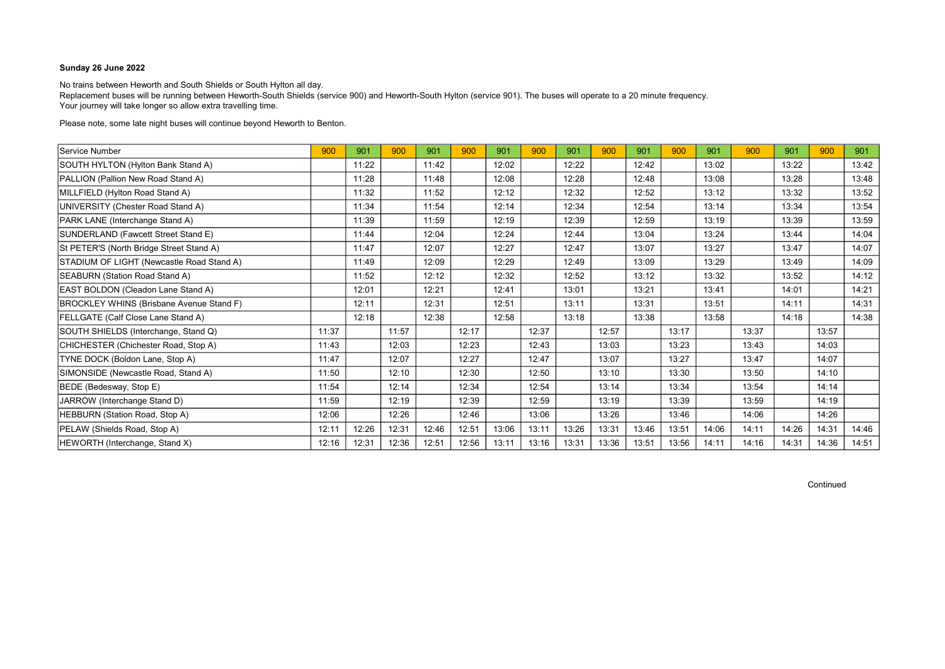No trains between Heworth and South Shields or South Hylton all day. Replacement buses will be running between Heworth-South Shields (service 900) and Heworth-South Hylton (service 901). The buses will operate to a 20 minute frequency. Your journey will take longer so allow extra travelling time.

Please note, some late night buses will continue beyond Heworth to Benton.

| Service Number                                  | 900   | 901   | 900   | 901   | 900   | 901   | 900   | 901   | 900   | 901   | 900   | 901   | 900   | 901   | 900   | 901   |
|-------------------------------------------------|-------|-------|-------|-------|-------|-------|-------|-------|-------|-------|-------|-------|-------|-------|-------|-------|
| SOUTH HYLTON (Hylton Bank Stand A)              |       | 11:22 |       | 11:42 |       | 12:02 |       | 12:22 |       | 12:42 |       | 13:02 |       | 13:22 |       | 13:42 |
| PALLION (Pallion New Road Stand A)              |       | 11:28 |       | 11:48 |       | 12:08 |       | 12:28 |       | 12:48 |       | 13:08 |       | 13:28 |       | 13:48 |
| MILLFIELD (Hylton Road Stand A)                 |       | 11:32 |       | 11:52 |       | 12:12 |       | 12:32 |       | 12:52 |       | 13:12 |       | 13:32 |       | 13:52 |
| UNIVERSITY (Chester Road Stand A)               |       | 11:34 |       | 11:54 |       | 12:14 |       | 12:34 |       | 12:54 |       | 13:14 |       | 13:34 |       | 13:54 |
| PARK LANE (Interchange Stand A)                 |       | 11:39 |       | 11:59 |       | 12:19 |       | 12:39 |       | 12:59 |       | 13:19 |       | 13:39 |       | 13:59 |
| SUNDERLAND (Fawcett Street Stand E)             |       | 11:44 |       | 12:04 |       | 12:24 |       | 12:44 |       | 13:04 |       | 13:24 |       | 13:44 |       | 14:04 |
| St PETER'S (North Bridge Street Stand A)        |       | 11:47 |       | 12:07 |       | 12:27 |       | 12:47 |       | 13:07 |       | 13:27 |       | 13:47 |       | 14:07 |
| STADIUM OF LIGHT (Newcastle Road Stand A)       |       | 11:49 |       | 12:09 |       | 12:29 |       | 12:49 |       | 13:09 |       | 13:29 |       | 13:49 |       | 14:09 |
| SEABURN (Station Road Stand A)                  |       | 11:52 |       | 12:12 |       | 12:32 |       | 12:52 |       | 13:12 |       | 13:32 |       | 13:52 |       | 14:12 |
| EAST BOLDON (Cleadon Lane Stand A)              |       | 12:01 |       | 12:21 |       | 12:41 |       | 13:01 |       | 13:21 |       | 13:41 |       | 14:01 |       | 14:21 |
| <b>BROCKLEY WHINS (Brisbane Avenue Stand F)</b> |       | 12:11 |       | 12:31 |       | 12:51 |       | 13:11 |       | 13:31 |       | 13:51 |       | 14:11 |       | 14:31 |
| FELLGATE (Calf Close Lane Stand A)              |       | 12:18 |       | 12:38 |       | 12:58 |       | 13:18 |       | 13:38 |       | 13:58 |       | 14:18 |       | 14:38 |
| SOUTH SHIELDS (Interchange, Stand Q)            | 11:37 |       | 11:57 |       | 12:17 |       | 12:37 |       | 12:57 |       | 13:17 |       | 13:37 |       | 13:57 |       |
| CHICHESTER (Chichester Road, Stop A)            | 11:43 |       | 12:03 |       | 12:23 |       | 12:43 |       | 13:03 |       | 13:23 |       | 13:43 |       | 14:03 |       |
| TYNE DOCK (Boldon Lane, Stop A)                 | 11:47 |       | 12:07 |       | 12:27 |       | 12:47 |       | 13:07 |       | 13:27 |       | 13:47 |       | 14:07 |       |
| SIMONSIDE (Newcastle Road, Stand A)             | 11:50 |       | 12:10 |       | 12:30 |       | 12:50 |       | 13:10 |       | 13:30 |       | 13:50 |       | 14:10 |       |
| BEDE (Bedesway, Stop E)                         | 11:54 |       | 12:14 |       | 12:34 |       | 12:54 |       | 13:14 |       | 13:34 |       | 13:54 |       | 14:14 |       |
| JARROW (Interchange Stand D)                    | 11:59 |       | 12:19 |       | 12:39 |       | 12:59 |       | 13:19 |       | 13:39 |       | 13:59 |       | 14:19 |       |
| HEBBURN (Station Road, Stop A)                  | 12:06 |       | 12:26 |       | 12:46 |       | 13:06 |       | 13:26 |       | 13:46 |       | 14:06 |       | 14:26 |       |
| PELAW (Shields Road, Stop A)                    | 12:11 | 12:26 | 12:31 | 12:46 | 12:51 | 13:06 | 13:11 | 13:26 | 13:31 | 13:46 | 13:51 | 14:06 | 14:11 | 14:26 | 14:31 | 14:46 |
| HEWORTH (Interchange, Stand X)                  | 12:16 | 12:31 | 12:36 | 12:51 | 12:56 | 13:11 | 13:16 | 13:31 | 13:36 | 13:51 | 13:56 | 14:11 | 14:16 | 14:31 | 14:36 | 14:51 |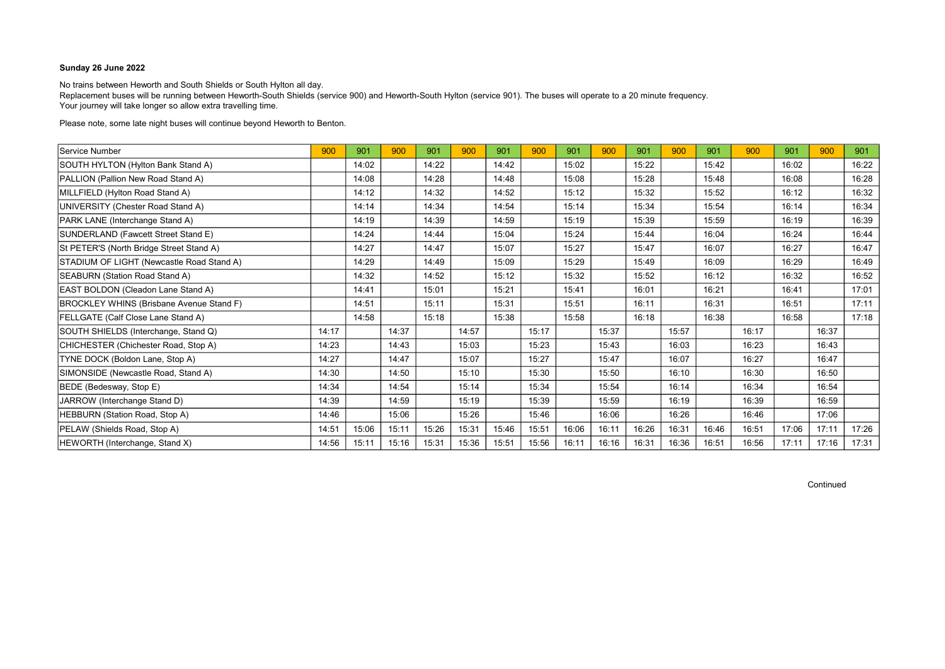No trains between Heworth and South Shields or South Hylton all day. Replacement buses will be running between Heworth-South Shields (service 900) and Heworth-South Hylton (service 901). The buses will operate to a 20 minute frequency. Your journey will take longer so allow extra travelling time.

Please note, some late night buses will continue beyond Heworth to Benton.

| Service Number                                  | 900   | 901   | 900   | 901   | 900   | 901   | 900   | 901   | 900   | 901   | 900   | 901   | 900   | 901   | 900   | 901   |
|-------------------------------------------------|-------|-------|-------|-------|-------|-------|-------|-------|-------|-------|-------|-------|-------|-------|-------|-------|
| SOUTH HYLTON (Hylton Bank Stand A)              |       | 14:02 |       | 14:22 |       | 14:42 |       | 15:02 |       | 15:22 |       | 15:42 |       | 16:02 |       | 16:22 |
| PALLION (Pallion New Road Stand A)              |       | 14:08 |       | 14:28 |       | 14:48 |       | 15:08 |       | 15:28 |       | 15:48 |       | 16:08 |       | 16:28 |
| MILLFIELD (Hylton Road Stand A)                 |       | 14:12 |       | 14:32 |       | 14:52 |       | 15:12 |       | 15:32 |       | 15:52 |       | 16:12 |       | 16:32 |
| UNIVERSITY (Chester Road Stand A)               |       | 14:14 |       | 14:34 |       | 14:54 |       | 15:14 |       | 15:34 |       | 15:54 |       | 16:14 |       | 16:34 |
| PARK LANE (Interchange Stand A)                 |       | 14:19 |       | 14:39 |       | 14:59 |       | 15:19 |       | 15:39 |       | 15:59 |       | 16:19 |       | 16:39 |
| SUNDERLAND (Fawcett Street Stand E)             |       | 14:24 |       | 14:44 |       | 15:04 |       | 15:24 |       | 15:44 |       | 16:04 |       | 16:24 |       | 16:44 |
| St PETER'S (North Bridge Street Stand A)        |       | 14:27 |       | 14:47 |       | 15:07 |       | 15:27 |       | 15:47 |       | 16:07 |       | 16:27 |       | 16:47 |
| STADIUM OF LIGHT (Newcastle Road Stand A)       |       | 14:29 |       | 14:49 |       | 15:09 |       | 15:29 |       | 15:49 |       | 16:09 |       | 16:29 |       | 16:49 |
| SEABURN (Station Road Stand A)                  |       | 14:32 |       | 14:52 |       | 15:12 |       | 15:32 |       | 15:52 |       | 16:12 |       | 16:32 |       | 16:52 |
| EAST BOLDON (Cleadon Lane Stand A)              |       | 14:41 |       | 15:01 |       | 15:21 |       | 15:41 |       | 16:01 |       | 16:21 |       | 16:41 |       | 17:01 |
| <b>BROCKLEY WHINS (Brisbane Avenue Stand F)</b> |       | 14:51 |       | 15:11 |       | 15:31 |       | 15:51 |       | 16:11 |       | 16:31 |       | 16:51 |       | 17:11 |
| FELLGATE (Calf Close Lane Stand A)              |       | 14:58 |       | 15:18 |       | 15:38 |       | 15:58 |       | 16:18 |       | 16:38 |       | 16:58 |       | 17:18 |
| SOUTH SHIELDS (Interchange, Stand Q)            | 14:17 |       | 14:37 |       | 14:57 |       | 15:17 |       | 15:37 |       | 15:57 |       | 16:17 |       | 16:37 |       |
| CHICHESTER (Chichester Road, Stop A)            | 14:23 |       | 14:43 |       | 15:03 |       | 15:23 |       | 15:43 |       | 16:03 |       | 16:23 |       | 16:43 |       |
| TYNE DOCK (Boldon Lane, Stop A)                 | 14:27 |       | 14:47 |       | 15:07 |       | 15:27 |       | 15:47 |       | 16:07 |       | 16:27 |       | 16:47 |       |
| SIMONSIDE (Newcastle Road, Stand A)             | 14:30 |       | 14:50 |       | 15:10 |       | 15:30 |       | 15:50 |       | 16:10 |       | 16:30 |       | 16:50 |       |
| BEDE (Bedesway, Stop E)                         | 14:34 |       | 14:54 |       | 15:14 |       | 15:34 |       | 15:54 |       | 16:14 |       | 16:34 |       | 16:54 |       |
| JARROW (Interchange Stand D)                    | 14:39 |       | 14:59 |       | 15:19 |       | 15:39 |       | 15:59 |       | 16:19 |       | 16:39 |       | 16:59 |       |
| HEBBURN (Station Road, Stop A)                  | 14:46 |       | 15:06 |       | 15:26 |       | 15:46 |       | 16:06 |       | 16:26 |       | 16:46 |       | 17:06 |       |
| PELAW (Shields Road, Stop A)                    | 14:51 | 15:06 | 15:11 | 15:26 | 15:31 | 15:46 | 15:51 | 16:06 | 16:11 | 16:26 | 16:31 | 16:46 | 16:51 | 17:06 | 17:11 | 17:26 |
| HEWORTH (Interchange, Stand X)                  | 14:56 | 15:11 | 15:16 | 15:31 | 15:36 | 15:51 | 15:56 | 16:11 | 16:16 | 16:31 | 16:36 | 16:51 | 16:56 | 17:11 | 17:16 | 17:31 |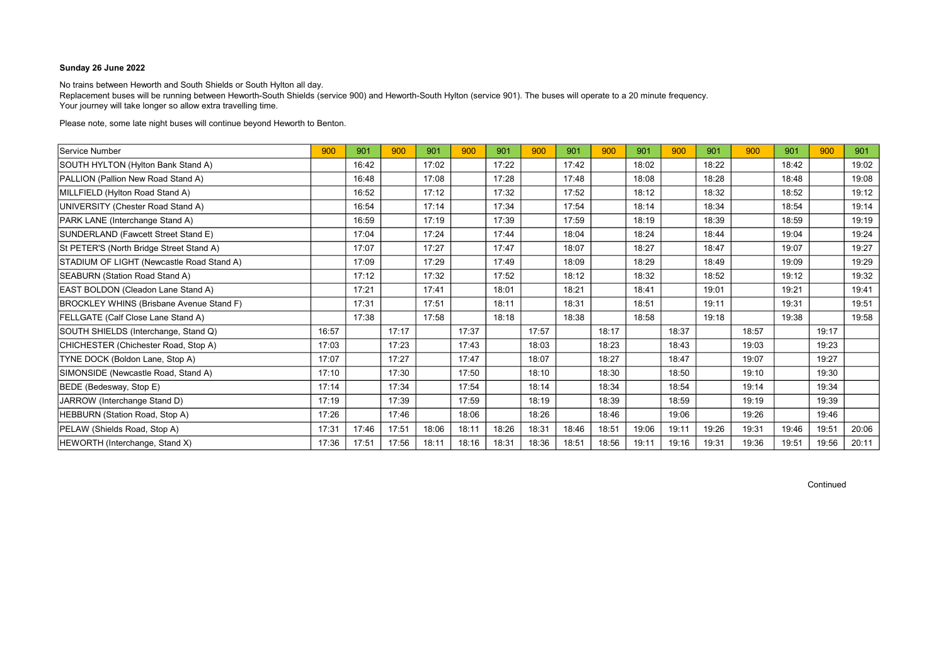No trains between Heworth and South Shields or South Hylton all day. Replacement buses will be running between Heworth-South Shields (service 900) and Heworth-South Hylton (service 901). The buses will operate to a 20 minute frequency. Your journey will take longer so allow extra travelling time.

Please note, some late night buses will continue beyond Heworth to Benton.

| Service Number                                  | 900   | 901   | 900   | 901   | 900   | 901   | 900   | 901   | 900   | 901   | 900   | 901   | 900   | 901   | 900   | 901   |
|-------------------------------------------------|-------|-------|-------|-------|-------|-------|-------|-------|-------|-------|-------|-------|-------|-------|-------|-------|
| SOUTH HYLTON (Hylton Bank Stand A)              |       | 16:42 |       | 17:02 |       | 17:22 |       | 17:42 |       | 18:02 |       | 18:22 |       | 18:42 |       | 19:02 |
| PALLION (Pallion New Road Stand A)              |       | 16:48 |       | 17:08 |       | 17:28 |       | 17:48 |       | 18:08 |       | 18:28 |       | 18:48 |       | 19:08 |
| MILLFIELD (Hylton Road Stand A)                 |       | 16:52 |       | 17:12 |       | 17:32 |       | 17:52 |       | 18:12 |       | 18:32 |       | 18:52 |       | 19:12 |
| UNIVERSITY (Chester Road Stand A)               |       | 16:54 |       | 17:14 |       | 17:34 |       | 17:54 |       | 18:14 |       | 18:34 |       | 18:54 |       | 19:14 |
| PARK LANE (Interchange Stand A)                 |       | 16:59 |       | 17:19 |       | 17:39 |       | 17:59 |       | 18:19 |       | 18:39 |       | 18:59 |       | 19:19 |
| SUNDERLAND (Fawcett Street Stand E)             |       | 17:04 |       | 17:24 |       | 17:44 |       | 18:04 |       | 18:24 |       | 18:44 |       | 19:04 |       | 19:24 |
| St PETER'S (North Bridge Street Stand A)        |       | 17:07 |       | 17:27 |       | 17:47 |       | 18:07 |       | 18:27 |       | 18:47 |       | 19:07 |       | 19:27 |
| STADIUM OF LIGHT (Newcastle Road Stand A)       |       | 17:09 |       | 17:29 |       | 17:49 |       | 18:09 |       | 18:29 |       | 18:49 |       | 19:09 |       | 19:29 |
| SEABURN (Station Road Stand A)                  |       | 17:12 |       | 17:32 |       | 17:52 |       | 18:12 |       | 18:32 |       | 18:52 |       | 19:12 |       | 19:32 |
| EAST BOLDON (Cleadon Lane Stand A)              |       | 17:21 |       | 17:41 |       | 18:01 |       | 18:21 |       | 18:41 |       | 19:01 |       | 19:21 |       | 19:41 |
| <b>BROCKLEY WHINS (Brisbane Avenue Stand F)</b> |       | 17:31 |       | 17:51 |       | 18:11 |       | 18:31 |       | 18:51 |       | 19:11 |       | 19:31 |       | 19:51 |
| FELLGATE (Calf Close Lane Stand A)              |       | 17:38 |       | 17:58 |       | 18:18 |       | 18:38 |       | 18:58 |       | 19:18 |       | 19:38 |       | 19:58 |
| SOUTH SHIELDS (Interchange, Stand Q)            | 16:57 |       | 17:17 |       | 17:37 |       | 17:57 |       | 18:17 |       | 18:37 |       | 18:57 |       | 19:17 |       |
| CHICHESTER (Chichester Road, Stop A)            | 17:03 |       | 17:23 |       | 17:43 |       | 18:03 |       | 18:23 |       | 18:43 |       | 19:03 |       | 19:23 |       |
| TYNE DOCK (Boldon Lane, Stop A)                 | 17:07 |       | 17:27 |       | 17:47 |       | 18:07 |       | 18:27 |       | 18:47 |       | 19:07 |       | 19:27 |       |
| SIMONSIDE (Newcastle Road, Stand A)             | 17:10 |       | 17:30 |       | 17:50 |       | 18:10 |       | 18:30 |       | 18:50 |       | 19:10 |       | 19:30 |       |
| BEDE (Bedesway, Stop E)                         | 17:14 |       | 17:34 |       | 17:54 |       | 18:14 |       | 18:34 |       | 18:54 |       | 19:14 |       | 19:34 |       |
| JARROW (Interchange Stand D)                    | 17:19 |       | 17:39 |       | 17:59 |       | 18:19 |       | 18:39 |       | 18:59 |       | 19:19 |       | 19:39 |       |
| HEBBURN (Station Road, Stop A)                  | 17:26 |       | 17:46 |       | 18:06 |       | 18:26 |       | 18:46 |       | 19:06 |       | 19:26 |       | 19:46 |       |
| PELAW (Shields Road, Stop A)                    | 17:31 | 17:46 | 17:51 | 18:06 | 18:11 | 18:26 | 18:31 | 18:46 | 18:51 | 19:06 | 19:11 | 19:26 | 19:31 | 19:46 | 19:51 | 20:06 |
| HEWORTH (Interchange, Stand X)                  | 17:36 | 17:51 | 17:56 | 18:11 | 18:16 | 18:31 | 18:36 | 18:51 | 18:56 | 19:11 | 19:16 | 19:31 | 19:36 | 19:51 | 19:56 | 20:11 |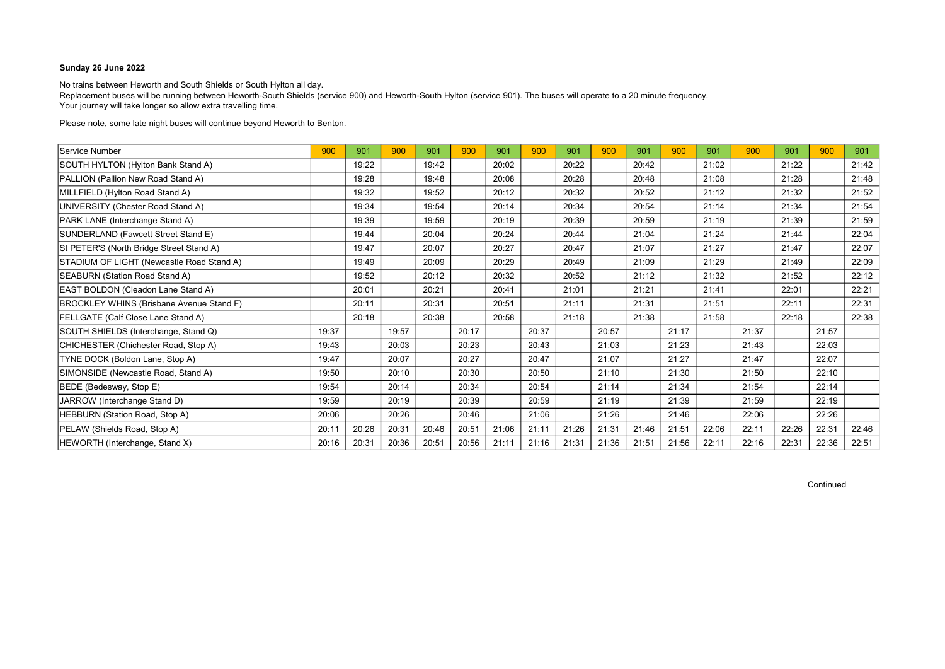No trains between Heworth and South Shields or South Hylton all day. Replacement buses will be running between Heworth-South Shields (service 900) and Heworth-South Hylton (service 901). The buses will operate to a 20 minute frequency. Your journey will take longer so allow extra travelling time.

Please note, some late night buses will continue beyond Heworth to Benton.

| Service Number                            | 900   | 901   | 900   | 901   | 900   | 901   | 900   | 901   | 900   | 901   | 900   | 901   | 900   | 901   | 900   | 901   |
|-------------------------------------------|-------|-------|-------|-------|-------|-------|-------|-------|-------|-------|-------|-------|-------|-------|-------|-------|
| SOUTH HYLTON (Hylton Bank Stand A)        |       | 19:22 |       | 19:42 |       | 20:02 |       | 20:22 |       | 20:42 |       | 21:02 |       | 21:22 |       | 21:42 |
| PALLION (Pallion New Road Stand A)        |       | 19:28 |       | 19:48 |       | 20:08 |       | 20:28 |       | 20:48 |       | 21:08 |       | 21:28 |       | 21:48 |
| MILLFIELD (Hylton Road Stand A)           |       | 19:32 |       | 19:52 |       | 20:12 |       | 20:32 |       | 20:52 |       | 21:12 |       | 21:32 |       | 21:52 |
| UNIVERSITY (Chester Road Stand A)         |       | 19:34 |       | 19:54 |       | 20:14 |       | 20:34 |       | 20:54 |       | 21:14 |       | 21:34 |       | 21:54 |
| PARK LANE (Interchange Stand A)           |       | 19:39 |       | 19:59 |       | 20:19 |       | 20:39 |       | 20:59 |       | 21:19 |       | 21:39 |       | 21:59 |
| SUNDERLAND (Fawcett Street Stand E)       |       | 19:44 |       | 20:04 |       | 20:24 |       | 20:44 |       | 21:04 |       | 21:24 |       | 21:44 |       | 22:04 |
| St PETER'S (North Bridge Street Stand A)  |       | 19:47 |       | 20:07 |       | 20:27 |       | 20:47 |       | 21:07 |       | 21:27 |       | 21:47 |       | 22:07 |
| STADIUM OF LIGHT (Newcastle Road Stand A) |       | 19:49 |       | 20:09 |       | 20:29 |       | 20:49 |       | 21:09 |       | 21:29 |       | 21:49 |       | 22:09 |
| SEABURN (Station Road Stand A)            |       | 19:52 |       | 20:12 |       | 20:32 |       | 20:52 |       | 21:12 |       | 21:32 |       | 21:52 |       | 22:12 |
| EAST BOLDON (Cleadon Lane Stand A)        |       | 20:01 |       | 20:21 |       | 20:41 |       | 21:01 |       | 21:21 |       | 21:41 |       | 22:01 |       | 22:21 |
| BROCKLEY WHINS (Brisbane Avenue Stand F)  |       | 20:11 |       | 20:31 |       | 20:51 |       | 21:11 |       | 21:31 |       | 21:51 |       | 22:11 |       | 22:31 |
| FELLGATE (Calf Close Lane Stand A)        |       | 20:18 |       | 20:38 |       | 20:58 |       | 21:18 |       | 21:38 |       | 21:58 |       | 22:18 |       | 22:38 |
| SOUTH SHIELDS (Interchange, Stand Q)      | 19:37 |       | 19:57 |       | 20:17 |       | 20:37 |       | 20:57 |       | 21:17 |       | 21:37 |       | 21:57 |       |
| CHICHESTER (Chichester Road, Stop A)      | 19:43 |       | 20:03 |       | 20:23 |       | 20:43 |       | 21:03 |       | 21:23 |       | 21:43 |       | 22:03 |       |
| TYNE DOCK (Boldon Lane, Stop A)           | 19:47 |       | 20:07 |       | 20:27 |       | 20:47 |       | 21:07 |       | 21:27 |       | 21:47 |       | 22:07 |       |
| SIMONSIDE (Newcastle Road, Stand A)       | 19:50 |       | 20:10 |       | 20:30 |       | 20:50 |       | 21:10 |       | 21:30 |       | 21:50 |       | 22:10 |       |
| BEDE (Bedesway, Stop E)                   | 19:54 |       | 20:14 |       | 20:34 |       | 20:54 |       | 21:14 |       | 21:34 |       | 21:54 |       | 22:14 |       |
| JARROW (Interchange Stand D)              | 19:59 |       | 20:19 |       | 20:39 |       | 20:59 |       | 21:19 |       | 21:39 |       | 21:59 |       | 22:19 |       |
| HEBBURN (Station Road, Stop A)            | 20:06 |       | 20:26 |       | 20:46 |       | 21:06 |       | 21:26 |       | 21:46 |       | 22:06 |       | 22:26 |       |
| PELAW (Shields Road, Stop A)              | 20:11 | 20:26 | 20:31 | 20:46 | 20:51 | 21:06 | 21:11 | 21:26 | 21:31 | 21:46 | 21:51 | 22:06 | 22:11 | 22:26 | 22:31 | 22:46 |
| HEWORTH (Interchange, Stand X)            | 20:16 | 20:31 | 20:36 | 20:51 | 20:56 | 21:11 | 21:16 | 21:31 | 21:36 | 21:51 | 21:56 | 22:11 | 22:16 | 22:31 | 22:36 | 22:51 |